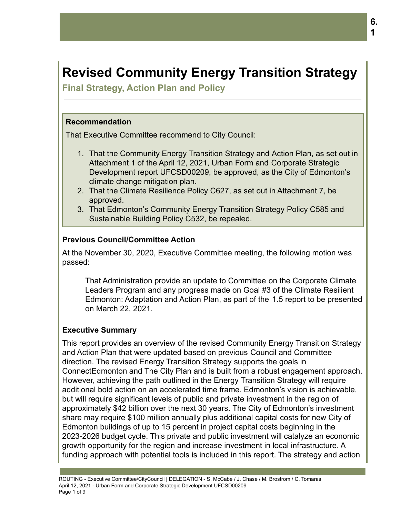# **Revised Community Energy Transition Strategy**

**Final Strategy, Action Plan and Policy**

#### **Recommendation**

That Executive Committee recommend to City Council:

- 1. That the Community Energy Transition Strategy and Action Plan, as set out in Attachment 1 of the April 12, 2021, Urban Form and Corporate Strategic Development report UFCSD00209, be approved, as the City of Edmonton's climate change mitigation plan.
- 2. That the Climate Resilience Policy C627, as set out in Attachment 7, be approved.
- 3. That Edmonton's Community Energy Transition Strategy Policy C585 and Sustainable Building Policy C532, be repealed.

### **Previous Council/Committee Action**

At the November 30, 2020, Executive Committee meeting, the following motion was passed:

That Administration provide an update to Committee on the Corporate Climate Leaders Program and any progress made on Goal #3 of the Climate Resilient Edmonton: Adaptation and Action Plan, as part of the 1.5 report to be presented on March 22, 2021.

#### **Executive Summary**

This report provides an overview of the revised Community Energy Transition Strategy and Action Plan that were updated based on previous Council and Committee direction. The revised Energy Transition Strategy supports the goals in ConnectEdmonton and The City Plan and is built from a robust engagement approach. However, achieving the path outlined in the Energy Transition Strategy will require additional bold action on an accelerated time frame. Edmonton's vision is achievable, but will require significant levels of public and private investment in the region of approximately \$42 billion over the next 30 years. The City of Edmonton's investment share may require \$100 million annually plus additional capital costs for new City of Edmonton buildings of up to 15 percent in project capital costs beginning in the 2023-2026 budget cycle. This private and public investment will catalyze an economic growth opportunity for the region and increase investment in local infrastructure. A funding approach with potential tools is included in this report. The strategy and action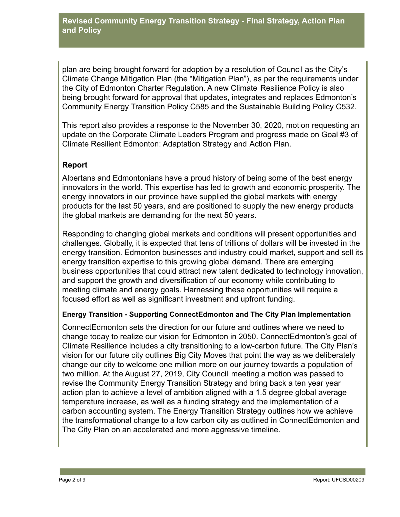plan are being brought forward for adoption by a resolution of Council as the City's Climate Change Mitigation Plan (the "Mitigation Plan"), as per the requirements under the City of Edmonton Charter Regulation. A new Climate Resilience Policy is also being brought forward for approval that updates, integrates and replaces Edmonton's Community Energy Transition Policy C585 and the Sustainable Building Policy C532.

This report also provides a response to the November 30, 2020, motion requesting an update on the Corporate Climate Leaders Program and progress made on Goal #3 of Climate Resilient Edmonton: Adaptation Strategy and Action Plan.

# **Report**

Albertans and Edmontonians have a proud history of being some of the best energy innovators in the world. This expertise has led to growth and economic prosperity. The energy innovators in our province have supplied the global markets with energy products for the last 50 years, and are positioned to supply the new energy products the global markets are demanding for the next 50 years.

Responding to changing global markets and conditions will present opportunities and challenges. Globally, it is expected that tens of trillions of dollars will be invested in the energy transition. Edmonton businesses and industry could market, support and sell its energy transition expertise to this growing global demand. There are emerging business opportunities that could attract new talent dedicated to technology innovation, and support the growth and diversification of our economy while contributing to meeting climate and energy goals. Harnessing these opportunities will require a focused effort as well as significant investment and upfront funding.

# **Energy Transition - Supporting ConnectEdmonton and The City Plan Implementation**

ConnectEdmonton sets the direction for our future and outlines where we need to change today to realize our vision for Edmonton in 2050. ConnectEdmonton's goal of Climate Resilience includes a city transitioning to a low-carbon future. The City Plan's vision for our future city outlines Big City Moves that point the way as we deliberately change our city to welcome one million more on our journey towards a population of two million. At the August 27, 2019, City Council meeting a motion was passed to revise the Community Energy Transition Strategy and bring back a ten year year action plan to achieve a level of ambition aligned with a 1.5 degree global average temperature increase, as well as a funding strategy and the implementation of a carbon accounting system. The Energy Transition Strategy outlines how we achieve the transformational change to a low carbon city as outlined in ConnectEdmonton and The City Plan on an accelerated and more aggressive timeline.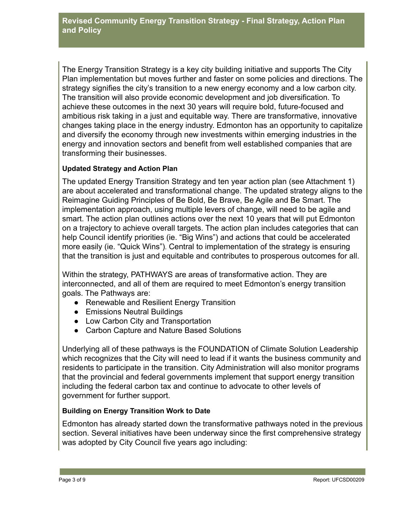The Energy Transition Strategy is a key city building initiative and supports The City Plan implementation but moves further and faster on some policies and directions. The strategy signifies the city's transition to a new energy economy and a low carbon city. The transition will also provide economic development and job diversification. To achieve these outcomes in the next 30 years will require bold, future-focused and ambitious risk taking in a just and equitable way. There are transformative, innovative changes taking place in the energy industry. Edmonton has an opportunity to capitalize and diversify the economy through new investments within emerging industries in the energy and innovation sectors and benefit from well established companies that are transforming their businesses.

### **Updated Strategy and Action Plan**

The updated Energy Transition Strategy and ten year action plan (see Attachment 1) are about accelerated and transformational change. The updated strategy aligns to the Reimagine Guiding Principles of Be Bold, Be Brave, Be Agile and Be Smart. The implementation approach, using multiple levers of change, will need to be agile and smart. The action plan outlines actions over the next 10 years that will put Edmonton on a trajectory to achieve overall targets. The action plan includes categories that can help Council identify priorities (ie. "Big Wins") and actions that could be accelerated more easily (ie. "Quick Wins"). Central to implementation of the strategy is ensuring that the transition is just and equitable and contributes to prosperous outcomes for all.

Within the strategy, PATHWAYS are areas of transformative action. They are interconnected, and all of them are required to meet Edmonton's energy transition goals. The Pathways are:

- Renewable and Resilient Energy Transition
- Emissions Neutral Buildings
- Low Carbon City and Transportation
- Carbon Capture and Nature Based Solutions

Underlying all of these pathways is the FOUNDATION of Climate Solution Leadership which recognizes that the City will need to lead if it wants the business community and residents to participate in the transition. City Administration will also monitor programs that the provincial and federal governments implement that support energy transition including the federal carbon tax and continue to advocate to other levels of government for further support.

#### **Building on Energy Transition Work to Date**

Edmonton has already started down the transformative pathways noted in the previous section. Several initiatives have been underway since the first comprehensive strategy was adopted by City Council five years ago including: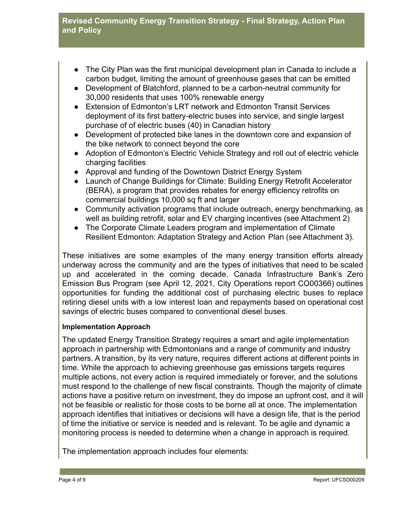# **Revised Community Energy Transition Strategy - Final Strategy, Action Plan and Policy**

- The City Plan was the first municipal development plan in Canada to include a carbon budget, limiting the amount of greenhouse gases that can be emitted
- Development of Blatchford, planned to be a carbon-neutral community for 30,000 residents that uses 100% renewable energy
- Extension of Edmonton's LRT network and Edmonton Transit Services deployment of its first battery-electric buses into service, and single largest purchase of of electric buses (40) in Canadian history
- Development of protected bike lanes in the downtown core and expansion of the bike network to connect beyond the core
- Adoption of Edmonton's Electric Vehicle Strategy and roll out of electric vehicle charging facilities
- Approval and funding of the Downtown District Energy System
- Launch of Change Buildings for Climate: Building Energy Retrofit Accelerator (BERA), a program that provides rebates for energy efficiency retrofits on commercial buildings 10,000 sq ft and larger
- Community activation programs that include outreach, energy benchmarking, as well as building retrofit, solar and EV charging incentives (see Attachment 2)
- The Corporate Climate Leaders program and implementation of Climate Resilient Edmonton: Adaptation Strategy and Action Plan (see Attachment 3).

These initiatives are some examples of the many energy transition efforts already underway across the community and are the types of initiatives that need to be scaled up and accelerated in the coming decade. Canada Infrastructure Bank's Zero Emission Bus Program (see April 12, 2021, City Operations report CO00366) outlines opportunities for funding the additional cost of purchasing electric buses to replace retiring diesel units with a low interest loan and repayments based on operational cost savings of electric buses compared to conventional diesel buses.

#### **Implementation Approach**

The updated Energy Transition Strategy requires a smart and agile implementation approach in partnership with Edmontonians and a range of community and industry partners. A transition, by its very nature, requires different actions at different points in time. While the approach to achieving greenhouse gas emissions targets requires multiple actions, not every action is required immediately or forever, and the solutions must respond to the challenge of new fiscal constraints. Though the majority of climate actions have a positive return on investment, they do impose an upfront cost, and it will not be feasible or realistic for those costs to be borne all at once. The implementation approach identifies that initiatives or decisions will have a design life, that is the period of time the initiative or service is needed and is relevant. To be agile and dynamic a monitoring process is needed to determine when a change in approach is required.

The implementation approach includes four elements: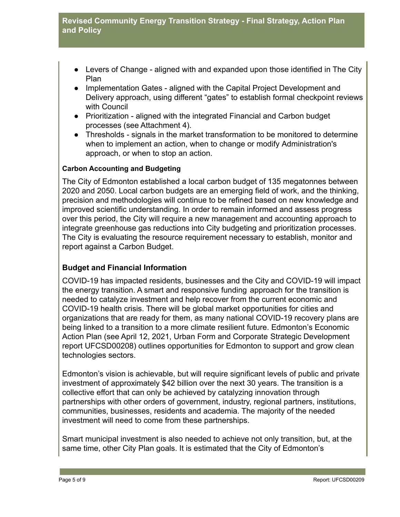- Levers of Change aligned with and expanded upon those identified in The City Plan
- Implementation Gates aligned with the Capital Project Development and Delivery approach, using different "gates" to establish formal checkpoint reviews with Council
- Prioritization aligned with the integrated Financial and Carbon budget processes (see Attachment 4).
- Thresholds signals in the market transformation to be monitored to determine when to implement an action, when to change or modify Administration's approach, or when to stop an action.

### **Carbon Accounting and Budgeting**

The City of Edmonton established a local carbon budget of 135 megatonnes between 2020 and 2050. Local carbon budgets are an emerging field of work, and the thinking, precision and methodologies will continue to be refined based on new knowledge and improved scientific understanding. In order to remain informed and assess progress over this period, the City will require a new management and accounting approach to integrate greenhouse gas reductions into City budgeting and prioritization processes. The City is evaluating the resource requirement necessary to establish, monitor and report against a Carbon Budget.

# **Budget and Financial Information**

COVID-19 has impacted residents, businesses and the City and COVID-19 will impact the energy transition. A smart and responsive funding approach for the transition is needed to catalyze investment and help recover from the current economic and COVID-19 health crisis. There will be global market opportunities for cities and organizations that are ready for them, as many national COVID-19 recovery plans are being linked to a transition to a more climate resilient future. Edmonton's Economic Action Plan (see April 12, 2021, Urban Form and Corporate Strategic Development report UFCSD00208) outlines opportunities for Edmonton to support and grow clean technologies sectors.

Edmonton's vision is achievable, but will require significant levels of public and private investment of approximately \$42 billion over the next 30 years. The transition is a collective effort that can only be achieved by catalyzing innovation through partnerships with other orders of government, industry, regional partners, institutions, communities, businesses, residents and academia. The majority of the needed investment will need to come from these partnerships.

Smart municipal investment is also needed to achieve not only transition, but, at the same time, other City Plan goals. It is estimated that the City of Edmonton's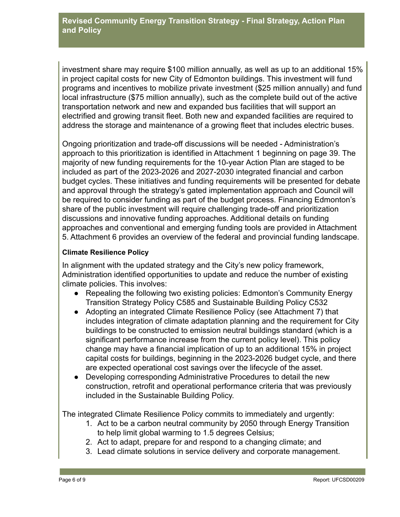investment share may require \$100 million annually, as well as up to an additional 15% in project capital costs for new City of Edmonton buildings. This investment will fund programs and incentives to mobilize private investment (\$25 million annually) and fund local infrastructure (\$75 million annually), such as the complete build out of the active transportation network and new and expanded bus facilities that will support an electrified and growing transit fleet. Both new and expanded facilities are required to address the storage and maintenance of a growing fleet that includes electric buses.

Ongoing prioritization and trade-off discussions will be needed - Administration's approach to this prioritization is identified in Attachment 1 beginning on page 39. The majority of new funding requirements for the 10-year Action Plan are staged to be included as part of the 2023-2026 and 2027-2030 integrated financial and carbon budget cycles. These initiatives and funding requirements will be presented for debate and approval through the strategy's gated implementation approach and Council will be required to consider funding as part of the budget process. Financing Edmonton's share of the public investment will require challenging trade-off and prioritization discussions and innovative funding approaches. Additional details on funding approaches and conventional and emerging funding tools are provided in Attachment 5. Attachment 6 provides an overview of the federal and provincial funding landscape.

#### **Climate Resilience Policy**

In alignment with the updated strategy and the City's new policy framework, Administration identified opportunities to update and reduce the number of existing climate policies. This involves:

- Repealing the following two existing policies: Edmonton's Community Energy Transition Strategy Policy C585 and Sustainable Building Policy C532
- Adopting an integrated Climate Resilience Policy (see Attachment 7) that includes integration of climate adaptation planning and the requirement for City buildings to be constructed to emission neutral buildings standard (which is a significant performance increase from the current policy level). This policy change may have a financial implication of up to an additional 15% in project capital costs for buildings, beginning in the 2023-2026 budget cycle, and there are expected operational cost savings over the lifecycle of the asset.
- Developing corresponding Administrative Procedures to detail the new construction, retrofit and operational performance criteria that was previously included in the Sustainable Building Policy.

The integrated Climate Resilience Policy commits to immediately and urgently:

- 1. Act to be a carbon neutral community by 2050 through Energy Transition to help limit global warming to 1.5 degrees Celsius;
- 2. Act to adapt, prepare for and respond to a changing climate; and
- 3. Lead climate solutions in service delivery and corporate management.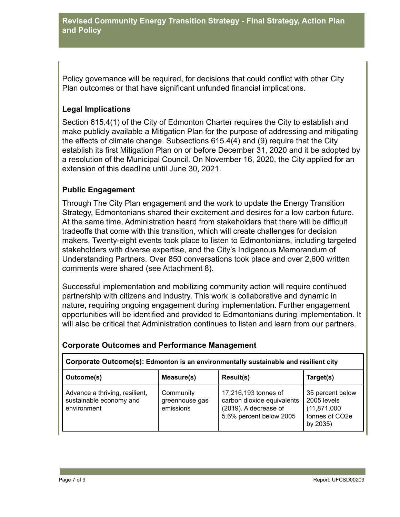Policy governance will be required, for decisions that could conflict with other City Plan outcomes or that have significant unfunded financial implications.

# **Legal Implications**

Section 615.4(1) of the City of Edmonton Charter requires the City to establish and make publicly available a Mitigation Plan for the purpose of addressing and mitigating the effects of climate change. Subsections 615.4(4) and (9) require that the City establish its first Mitigation Plan on or before December 31, 2020 and it be adopted by a resolution of the Municipal Council. On November 16, 2020, the City applied for an extension of this deadline until June 30, 2021.

# **Public Engagement**

Through The City Plan engagement and the work to update the Energy Transition Strategy, Edmontonians shared their excitement and desires for a low carbon future. At the same time, Administration heard from stakeholders that there will be difficult tradeoffs that come with this transition, which will create challenges for decision makers. Twenty-eight events took place to listen to Edmontonians, including targeted stakeholders with diverse expertise, and the City's Indigenous Memorandum of Understanding Partners. Over 850 conversations took place and over 2,600 written comments were shared (see Attachment 8).

Successful implementation and mobilizing community action will require continued partnership with citizens and industry. This work is collaborative and dynamic in nature, requiring ongoing engagement during implementation. Further engagement opportunities will be identified and provided to Edmontonians during implementation. It will also be critical that Administration continues to listen and learn from our partners.

| Corporate Outcome(s): Edmonton is an environmentally sustainable and resilient city                                  |            |                                                                                                        |                                                                                 |  |  |  |
|----------------------------------------------------------------------------------------------------------------------|------------|--------------------------------------------------------------------------------------------------------|---------------------------------------------------------------------------------|--|--|--|
| Outcome(s)                                                                                                           | Measure(s) | Result(s)                                                                                              | Target(s)                                                                       |  |  |  |
| Advance a thriving, resilient,<br>Community<br>sustainable economy and<br>greenhouse gas<br>emissions<br>environment |            | 17,216,193 tonnes of<br>carbon dioxide equivalents<br>(2019). A decrease of<br>5.6% percent below 2005 | 35 percent below<br>2005 levels<br>(11, 871, 000)<br>tonnes of CO2e<br>by 2035) |  |  |  |

#### **Corporate Outcomes and Performance Management**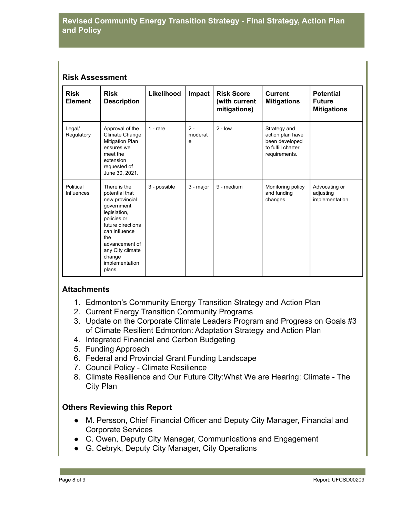## **Risk Assessment**

| <b>Risk</b><br><b>Element</b>  | <b>Risk</b><br><b>Description</b>                                                                                                                                                                                      | Likelihood   | Impact                | <b>Risk Score</b><br>(with current<br>mitigations) | <b>Current</b><br><b>Mitigations</b>                                                      | <b>Potential</b><br><b>Future</b><br><b>Mitigations</b> |
|--------------------------------|------------------------------------------------------------------------------------------------------------------------------------------------------------------------------------------------------------------------|--------------|-----------------------|----------------------------------------------------|-------------------------------------------------------------------------------------------|---------------------------------------------------------|
| Legal/<br>Regulatory           | Approval of the<br>Climate Change<br><b>Mitigation Plan</b><br>ensures we<br>meet the<br>extension<br>requested of<br>June 30, 2021.                                                                                   | $1 - rare$   | $2 -$<br>moderat<br>e | $2 - low$                                          | Strategy and<br>action plan have<br>been developed<br>to fulfill charter<br>requirements. |                                                         |
| Political<br><b>Influences</b> | There is the<br>potential that<br>new provincial<br>government<br>legislation,<br>policies or<br>future directions<br>can influence<br>the<br>advancement of<br>any City climate<br>change<br>implementation<br>plans. | 3 - possible | 3 - major             | 9 - medium                                         | Monitoring policy<br>and funding<br>changes.                                              | Advocating or<br>adjusting<br>implementation.           |

#### **Attachments**

- 1. Edmonton's Community Energy Transition Strategy and Action Plan
- 2. Current Energy Transition Community Programs
- 3. Update on the Corporate Climate Leaders Program and Progress on Goals #3 of Climate Resilient Edmonton: Adaptation Strategy and Action Plan
- 4. Integrated Financial and Carbon Budgeting
- 5. Funding Approach
- 6. Federal and Provincial Grant Funding Landscape
- 7. Council Policy Climate Resilience
- 8. Climate Resilience and Our Future City:What We are Hearing: Climate The City Plan

# **Others Reviewing this Report**

- M. Persson, Chief Financial Officer and Deputy City Manager, Financial and Corporate Services
- C. Owen, Deputy City Manager, Communications and Engagement
- G. Cebryk, Deputy City Manager, City Operations